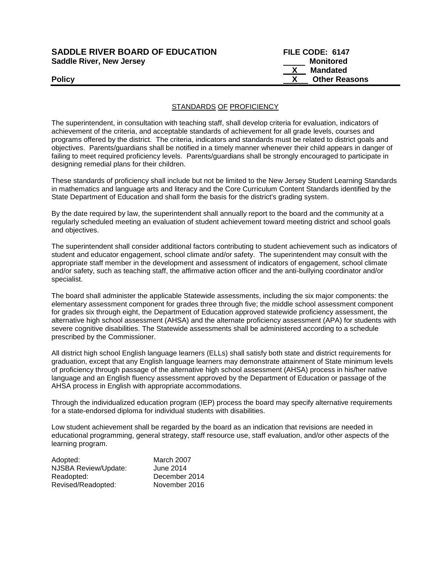| <b>SADDLE RIVER BOARD OF EDUCATION</b> | FILE CODE: 6147      |
|----------------------------------------|----------------------|
| <b>Saddle River, New Jersey</b>        | Monitored            |
|                                        | Mandated             |
| <b>Policy</b>                          | <b>Other Reasons</b> |

## STANDARDS OF PROFICIENCY

The superintendent, in consultation with teaching staff, shall develop criteria for evaluation, indicators of achievement of the criteria, and acceptable standards of achievement for all grade levels, courses and programs offered by the district. The criteria, indicators and standards must be related to district goals and objectives. Parents/guardians shall be notified in a timely manner whenever their child appears in danger of failing to meet required proficiency levels. Parents/guardians shall be strongly encouraged to participate in designing remedial plans for their children.

These standards of proficiency shall include but not be limited to the New Jersey Student Learning Standards in mathematics and language arts and literacy and the Core Curriculum Content Standards identified by the State Department of Education and shall form the basis for the district's grading system.

By the date required by law, the superintendent shall annually report to the board and the community at a regularly scheduled meeting an evaluation of student achievement toward meeting district and school goals and objectives.

The superintendent shall consider additional factors contributing to student achievement such as indicators of student and educator engagement, school climate and/or safety. The superintendent may consult with the appropriate staff member in the development and assessment of indicators of engagement, school climate and/or safety, such as teaching staff, the affirmative action officer and the anti-bullying coordinator and/or specialist.

The board shall administer the applicable Statewide assessments, including the six major components: the elementary assessment component for grades three through five; the middle school assessment component for grades six through eight, the Department of Education approved statewide proficiency assessment, the alternative high school assessment (AHSA) and the alternate proficiency assessment (APA) for students with severe cognitive disabilities. The Statewide assessments shall be administered according to a schedule prescribed by the Commissioner.

All district high school English language learners (ELLs) shall satisfy both state and district requirements for graduation, except that any English language learners may demonstrate attainment of State minimum levels of proficiency through passage of the alternative high school assessment (AHSA) process in his/her native language and an English fluency assessment approved by the Department of Education or passage of the AHSA process in English with appropriate accommodations.

Through the individualized education program (IEP) process the board may specify alternative requirements for a state-endorsed diploma for individual students with disabilities.

Low student achievement shall be regarded by the board as an indication that revisions are needed in educational programming, general strategy, staff resource use, staff evaluation, and/or other aspects of the learning program.

| Adopted:             | March 2007    |
|----------------------|---------------|
| NJSBA Review/Update: | June 2014     |
| Readopted:           | December 2014 |
| Revised/Readopted:   | November 2016 |